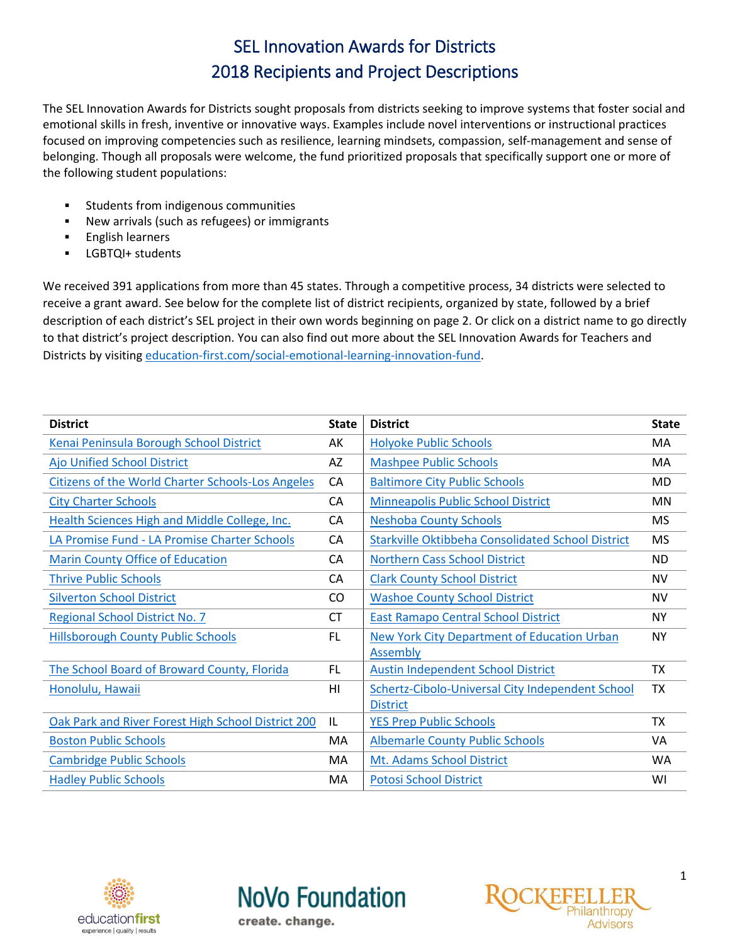The SEL Innovation Awards for Districts sought proposals from districts seeking to improve systems that foster social and emotional skills in fresh, inventive or innovative ways. Examples include novel interventions or instructional practices focused on improving competencies such as resilience, learning mindsets, compassion, self-management and sense of belonging. Though all proposals were welcome, the fund prioritized proposals that specifically support one or more of the following student populations:

- **EXECUTE:** Students from indigenous communities
- New arrivals (such as refugees) or immigrants
- English learners
- **EXECUST CHECK**<br>STRIP students

We received 391 applications from more than 45 states. Through a competitive process, 34 districts were selected to receive a grant award. See below for the complete list of district recipients, organized by state, followed by a brief description of each district's SEL project in their own words beginning on page 2. Or click on a district name to go directly to that district's project description. You can also find out more about the SEL Innovation Awards for Teachers and Districts by visiting [education-first.com/social-emotional-learning-innovation-fund.](http://education-first.com/social-emotional-learning-innovation-fund/)

| <b>District</b>                                          | <b>State</b> | <b>District</b>                                          | <b>State</b> |
|----------------------------------------------------------|--------------|----------------------------------------------------------|--------------|
| Kenai Peninsula Borough School District                  | AK           | <b>Holyoke Public Schools</b>                            | MA           |
| Ajo Unified School District                              | AZ           | <b>Mashpee Public Schools</b>                            | MA           |
| <b>Citizens of the World Charter Schools-Los Angeles</b> | CA           | <b>Baltimore City Public Schools</b>                     | MD           |
| <b>City Charter Schools</b>                              | CA           | <b>Minneapolis Public School District</b>                | MN           |
| <b>Health Sciences High and Middle College, Inc.</b>     | CA           | <b>Neshoba County Schools</b>                            | MS           |
| LA Promise Fund - LA Promise Charter Schools             | CA           | <b>Starkville Oktibbeha Consolidated School District</b> | <b>MS</b>    |
| <b>Marin County Office of Education</b>                  | CA           | <b>Northern Cass School District</b>                     | <b>ND</b>    |
| <b>Thrive Public Schools</b>                             | CA           | <b>Clark County School District</b>                      | <b>NV</b>    |
| <b>Silverton School District</b>                         | CO           | <b>Washoe County School District</b>                     | <b>NV</b>    |
| <b>Regional School District No. 7</b>                    | <b>CT</b>    | <b>East Ramapo Central School District</b>               | <b>NY</b>    |
| <b>Hillsborough County Public Schools</b>                | <b>FL</b>    | <b>New York City Department of Education Urban</b>       | <b>NY</b>    |
|                                                          |              | <b>Assembly</b>                                          |              |
| The School Board of Broward County, Florida              | FL           | <b>Austin Independent School District</b>                | <b>TX</b>    |
| Honolulu, Hawaii                                         | HI           | Schertz-Cibolo-Universal City Independent School         | <b>TX</b>    |
|                                                          |              | <b>District</b>                                          |              |
| Oak Park and River Forest High School District 200       | IL           | <b>YES Prep Public Schools</b>                           | <b>TX</b>    |
| <b>Boston Public Schools</b>                             | MA           | <b>Albemarle County Public Schools</b>                   | VA           |
| <b>Cambridge Public Schools</b>                          | МA           | Mt. Adams School District                                | WA           |
| <b>Hadley Public Schools</b>                             | MA           | <b>Potosi School District</b>                            | WI           |





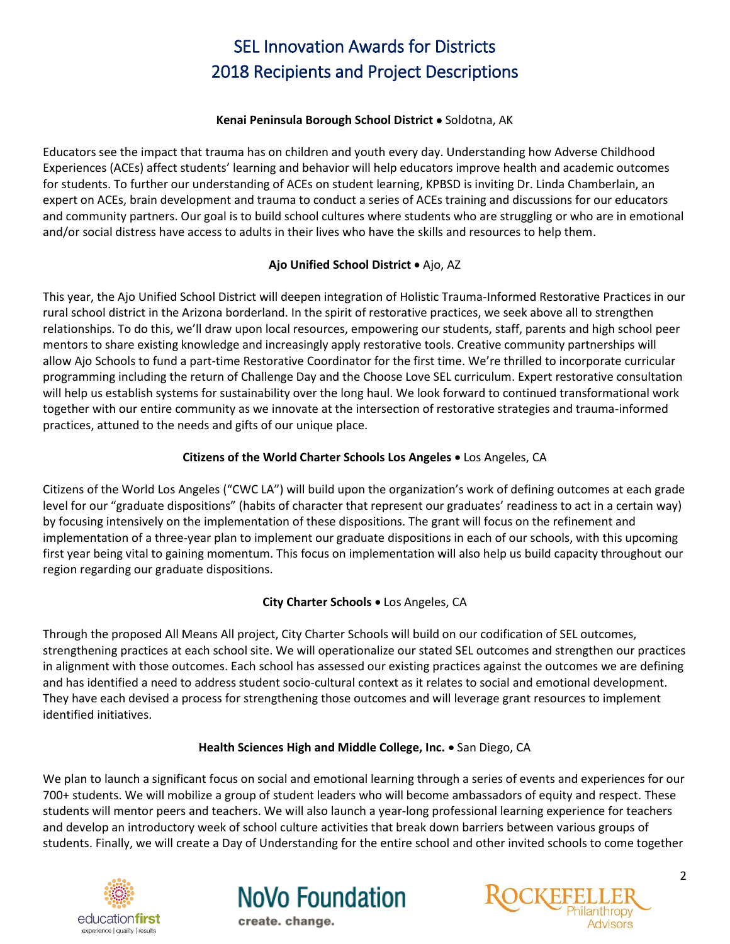#### Kenai Peninsula Borough School District . Soldotna, AK

<span id="page-1-0"></span>Educators see the impact that trauma has on children and youth every day. Understanding how Adverse Childhood Experiences (ACEs) affect students' learning and behavior will help educators improve health and academic outcomes for students. To further our understanding of ACEs on student learning, KPBSD is inviting Dr. Linda Chamberlain, an expert on ACEs, brain development and trauma to conduct a series of ACEs training and discussions for our educators and community partners. Our goal is to build school cultures where students who are struggling or who are in emotional and/or social distress have access to adults in their lives who have the skills and resources to help them.

### **Ajo Unified School District • Ajo, AZ**

<span id="page-1-1"></span>This year, the Ajo Unified School District will deepen integration of Holistic Trauma-Informed Restorative Practices in our rural school district in the Arizona borderland. In the spirit of restorative practices, we seek above all to strengthen relationships. To do this, we'll draw upon local resources, empowering our students, staff, parents and high school peer mentors to share existing knowledge and increasingly apply restorative tools. Creative community partnerships will allow Ajo Schools to fund a part-time Restorative Coordinator for the first time. We're thrilled to incorporate curricular programming including the return of Challenge Day and the Choose Love SEL curriculum. Expert restorative consultation will help us establish systems for sustainability over the long haul. We look forward to continued transformational work together with our entire community as we innovate at the intersection of restorative strategies and trauma-informed practices, attuned to the needs and gifts of our unique place.

#### **Citizens of the World Charter Schools Los Angeles** Los Angeles, CA

<span id="page-1-2"></span>Citizens of the World Los Angeles ("CWC LA") will build upon the organization's work of defining outcomes at each grade level for our "graduate dispositions" (habits of character that represent our graduates' readiness to act in a certain way) by focusing intensively on the implementation of these dispositions. The grant will focus on the refinement and implementation of a three-year plan to implement our graduate dispositions in each of our schools, with this upcoming first year being vital to gaining momentum. This focus on implementation will also help us build capacity throughout our region regarding our graduate dispositions.

#### **City Charter Schools** Los Angeles, CA

<span id="page-1-3"></span>Through the proposed All Means All project, City Charter Schools will build on our codification of SEL outcomes, strengthening practices at each school site. We will operationalize our stated SEL outcomes and strengthen our practices in alignment with those outcomes. Each school has assessed our existing practices against the outcomes we are defining and has identified a need to address student socio-cultural context as it relates to social and emotional development. They have each devised a process for strengthening those outcomes and will leverage grant resources to implement identified initiatives.

#### Health Sciences High and Middle College, Inc. . San Diego, CA

<span id="page-1-4"></span>We plan to launch a significant focus on social and emotional learning through a series of events and experiences for our 700+ students. We will mobilize a group of student leaders who will become ambassadors of equity and respect. These students will mentor peers and teachers. We will also launch a year-long professional learning experience for teachers and develop an introductory week of school culture activities that break down barriers between various groups of students. Finally, we will create a Day of Understanding for the entire school and other invited schools to come together





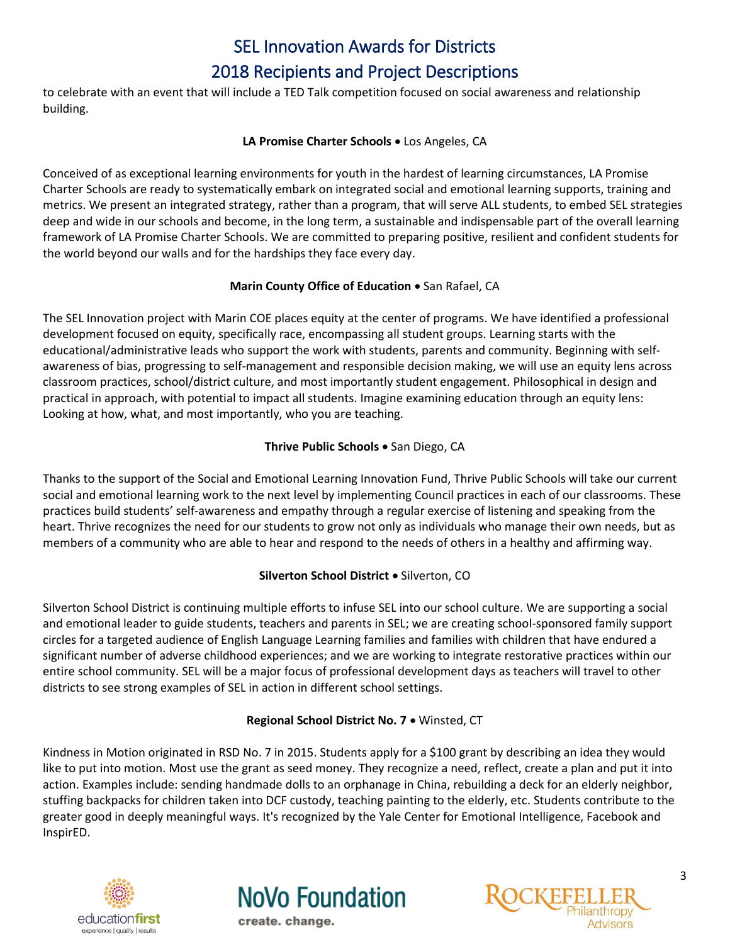# SEL Innovation Awards for Districts

# 2018 Recipients and Project Descriptions

to celebrate with an event that will include a TED Talk competition focused on social awareness and relationship building.

#### LA Promise Charter Schools . Los Angeles, CA

<span id="page-2-0"></span>Conceived of as exceptional learning environments for youth in the hardest of learning circumstances, LA Promise Charter Schools are ready to systematically embark on integrated social and emotional learning supports, training and metrics. We present an integrated strategy, rather than a program, that will serve ALL students, to embed SEL strategies deep and wide in our schools and become, in the long term, a sustainable and indispensable part of the overall learning framework of LA Promise Charter Schools. We are committed to preparing positive, resilient and confident students for the world beyond our walls and for the hardships they face every day.

# **Marin County Office of Education • San Rafael, CA**

<span id="page-2-1"></span>The SEL Innovation project with Marin COE places equity at the center of programs. We have identified a professional development focused on equity, specifically race, encompassing all student groups. Learning starts with the educational/administrative leads who support the work with students, parents and community. Beginning with selfawareness of bias, progressing to self-management and responsible decision making, we will use an equity lens across classroom practices, school/district culture, and most importantly student engagement. Philosophical in design and practical in approach, with potential to impact all students. Imagine examining education through an equity lens: Looking at how, what, and most importantly, who you are teaching.

# **Thrive Public Schools • San Diego, CA**

<span id="page-2-2"></span>Thanks to the support of the Social and Emotional Learning Innovation Fund, Thrive Public Schools will take our current social and emotional learning work to the next level by implementing Council practices in each of our classrooms. These practices build students' self-awareness and empathy through a regular exercise of listening and speaking from the heart. Thrive recognizes the need for our students to grow not only as individuals who manage their own needs, but as members of a community who are able to hear and respond to the needs of others in a healthy and affirming way.

# **Silverton School District .** Silverton, CO

<span id="page-2-3"></span>Silverton School District is continuing multiple efforts to infuse SEL into our school culture. We are supporting a social and emotional leader to guide students, teachers and parents in SEL; we are creating school-sponsored family support circles for a targeted audience of English Language Learning families and families with children that have endured a significant number of adverse childhood experiences; and we are working to integrate restorative practices within our entire school community. SEL will be a major focus of professional development days as teachers will travel to other districts to see strong examples of SEL in action in different school settings.

# **Regional School District No. 7** Winsted, CT

<span id="page-2-4"></span>Kindness in Motion originated in RSD No. 7 in 2015. Students apply for a \$100 grant by describing an idea they would like to put into motion. Most use the grant as seed money. They recognize a need, reflect, create a plan and put it into action. Examples include: sending handmade dolls to an orphanage in China, rebuilding a deck for an elderly neighbor, stuffing backpacks for children taken into DCF custody, teaching painting to the elderly, etc. Students contribute to the greater good in deeply meaningful ways. It's recognized by the Yale Center for Emotional Intelligence, Facebook and InspirED.





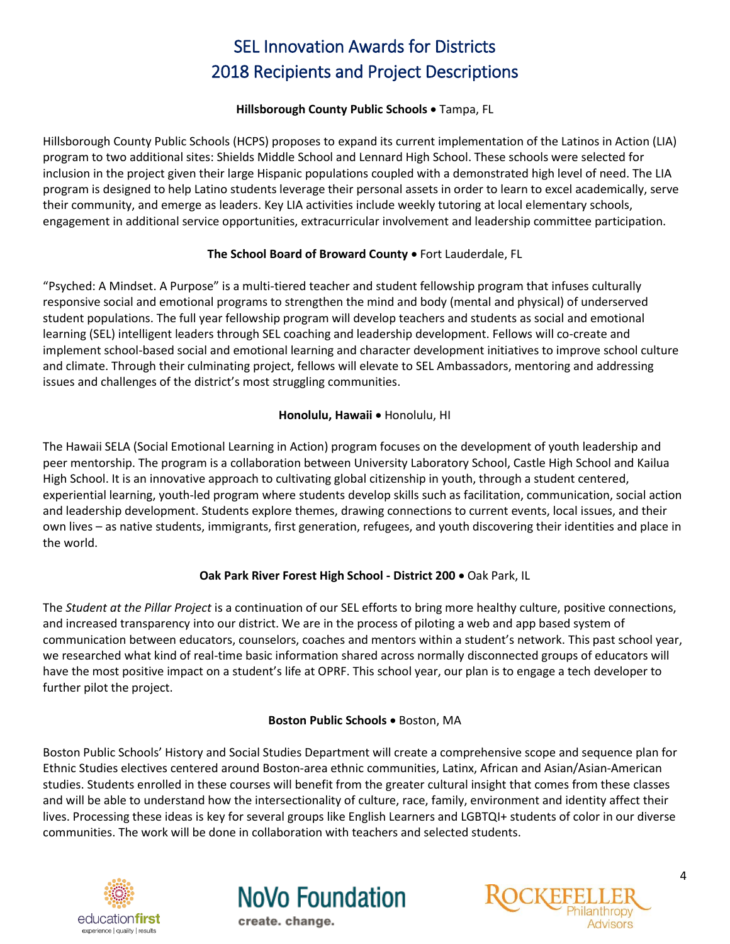#### **Hillsborough County Public Schools** Tampa, FL

<span id="page-3-0"></span>Hillsborough County Public Schools (HCPS) proposes to expand its current implementation of the Latinos in Action (LIA) program to two additional sites: Shields Middle School and Lennard High School. These schools were selected for inclusion in the project given their large Hispanic populations coupled with a demonstrated high level of need. The LIA program is designed to help Latino students leverage their personal assets in order to learn to excel academically, serve their community, and emerge as leaders. Key LIA activities include weekly tutoring at local elementary schools, engagement in additional service opportunities, extracurricular involvement and leadership committee participation.

### The School Board of Broward County . Fort Lauderdale, FL

<span id="page-3-1"></span>"Psyched: A Mindset. A Purpose" is a multi-tiered teacher and student fellowship program that infuses culturally responsive social and emotional programs to strengthen the mind and body (mental and physical) of underserved student populations. The full year fellowship program will develop teachers and students as social and emotional learning (SEL) intelligent leaders through SEL coaching and leadership development. Fellows will co-create and implement school-based social and emotional learning and character development initiatives to improve school culture and climate. Through their culminating project, fellows will elevate to SEL Ambassadors, mentoring and addressing issues and challenges of the district's most struggling communities.

### **Honolulu, Hawaii • Honolulu, HI**

<span id="page-3-2"></span>The Hawaii SELA (Social Emotional Learning in Action) program focuses on the development of youth leadership and peer mentorship. The program is a collaboration between University Laboratory School, Castle High School and Kailua High School. It is an innovative approach to cultivating global citizenship in youth, through a student centered, experiential learning, youth-led program where students develop skills such as facilitation, communication, social action and leadership development. Students explore themes, drawing connections to current events, local issues, and their own lives – as native students, immigrants, first generation, refugees, and youth discovering their identities and place in the world.

# **Oak Park River Forest High School - District 200**  Oak Park, IL

<span id="page-3-3"></span>The *Student at the Pillar Project* is a continuation of our SEL efforts to bring more healthy culture, positive connections, and increased transparency into our district. We are in the process of piloting a web and app based system of communication between educators, counselors, coaches and mentors within a student's network. This past school year, we researched what kind of real-time basic information shared across normally disconnected groups of educators will have the most positive impact on a student's life at OPRF. This school year, our plan is to engage a tech developer to further pilot the project.

#### **Boston Public Schools .** Boston, MA

<span id="page-3-4"></span>Boston Public Schools' History and Social Studies Department will create a comprehensive scope and sequence plan for Ethnic Studies electives centered around Boston-area ethnic communities, Latinx, African and Asian/Asian-American studies. Students enrolled in these courses will benefit from the greater cultural insight that comes from these classes and will be able to understand how the intersectionality of culture, race, family, environment and identity affect their lives. Processing these ideas is key for several groups like English Learners and LGBTQI+ students of color in our diverse communities. The work will be done in collaboration with teachers and selected students.





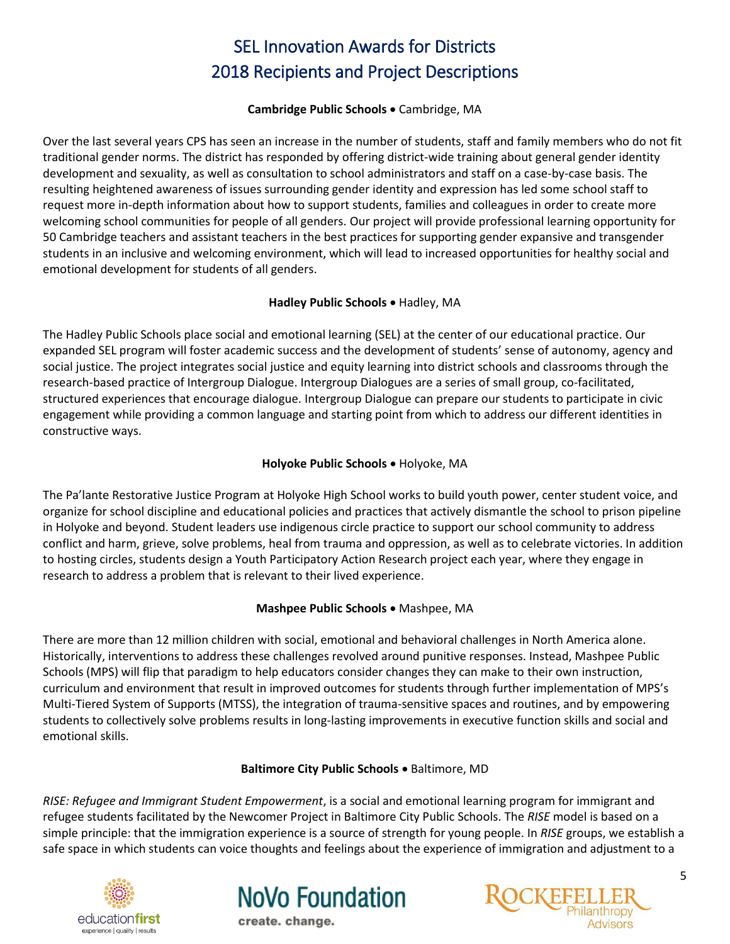#### **Cambridge Public Schools •** Cambridge, MA

<span id="page-4-3"></span>Over the last several years CPS has seen an increase in the number of students, staff and family members who do not fit traditional gender norms. The district has responded by offering district-wide training about general gender identity development and sexuality, as well as consultation to school administrators and staff on a case-by-case basis. The resulting heightened awareness of issues surrounding gender identity and expression has led some school staff to request more in-depth information about how to support students, families and colleagues in order to create more welcoming school communities for people of all genders. Our project will provide professional learning opportunity for 50 Cambridge teachers and assistant teachers in the best practices for supporting gender expansive and transgender students in an inclusive and welcoming environment, which will lead to increased opportunities for healthy social and emotional development for students of all genders.

#### Hadley Public Schools . Hadley, MA

<span id="page-4-4"></span>The Hadley Public Schools place social and emotional learning (SEL) at the center of our educational practice. Our expanded SEL program will foster academic success and the development of students' sense of autonomy, agency and social justice. The project integrates social justice and equity learning into district schools and classrooms through the research-based practice of Intergroup Dialogue. Intergroup Dialogues are a series of small group, co-facilitated, structured experiences that encourage dialogue. Intergroup Dialogue can prepare our students to participate in civic engagement while providing a common language and starting point from which to address our different identities in constructive ways.

#### **Holyoke Public Schools .** Holyoke, MA

<span id="page-4-0"></span>The Pa'lante Restorative Justice Program at Holyoke High School works to build youth power, center student voice, and organize for school discipline and educational policies and practices that actively dismantle the school to prison pipeline in Holyoke and beyond. Student leaders use indigenous circle practice to support our school community to address conflict and harm, grieve, solve problems, heal from trauma and oppression, as well as to celebrate victories. In addition to hosting circles, students design a Youth Participatory Action Research project each year, where they engage in research to address a problem that is relevant to their lived experience.

#### **Mashpee Public Schools • Mashpee, MA**

<span id="page-4-1"></span>There are more than 12 million children with social, emotional and behavioral challenges in North America alone. Historically, interventions to address these challenges revolved around punitive responses. Instead, Mashpee Public Schools (MPS) will flip that paradigm to help educators consider changes they can make to their own instruction, curriculum and environment that result in improved outcomes for students through further implementation of MPS's Multi-Tiered System of Supports (MTSS), the integration of trauma-sensitive spaces and routines, and by empowering students to collectively solve problems results in long-lasting improvements in executive function skills and social and emotional skills.

#### **Baltimore City Public Schools .** Baltimore, MD

<span id="page-4-2"></span>*RISE: Refugee and Immigrant Student Empowerment*, is a social and emotional learning program for immigrant and refugee students facilitated by the Newcomer Project in Baltimore City Public Schools. The *RISE* model is based on a simple principle: that the immigration experience is a source of strength for young people. In *RISE* groups, we establish a safe space in which students can voice thoughts and feelings about the experience of immigration and adjustment to a





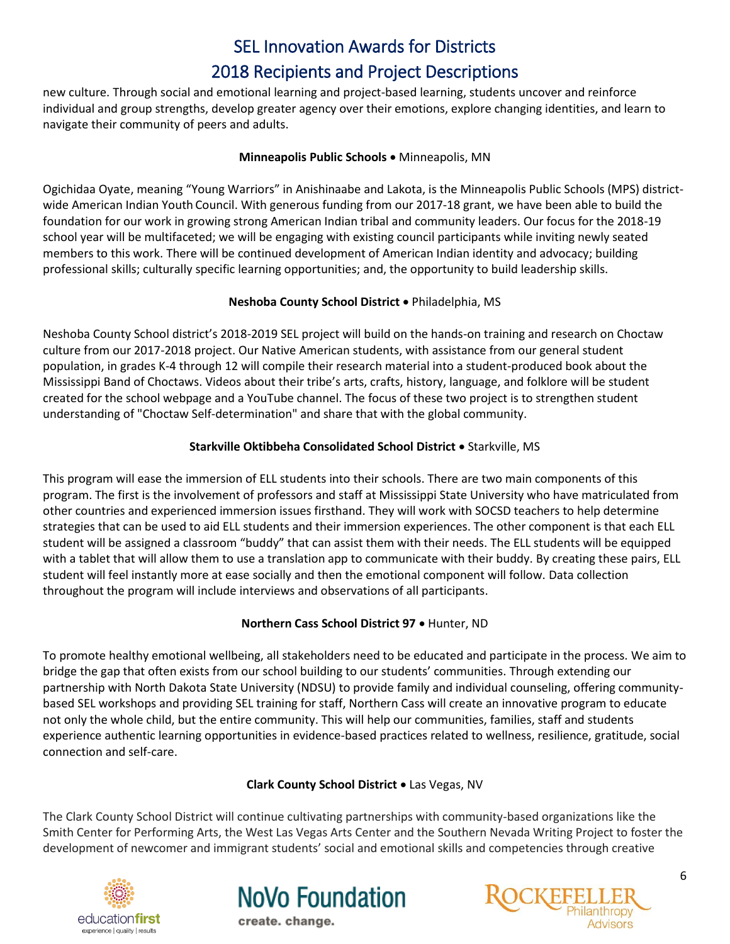new culture. Through social and emotional learning and project-based learning, students uncover and reinforce individual and group strengths, develop greater agency over their emotions, explore changing identities, and learn to navigate their community of peers and adults.

#### **Minneapolis Public Schools • Minneapolis, MN**

<span id="page-5-0"></span>Ogichidaa Oyate, meaning "Young Warriors" in Anishinaabe and Lakota, is the Minneapolis Public Schools (MPS) districtwide American Indian Youth Council. With generous funding from our 2017-18 grant, we have been able to build the foundation for our work in growing strong American Indian tribal and community leaders. Our focus for the 2018-19 school year will be multifaceted; we will be engaging with existing council participants while inviting newly seated members to this work. There will be continued development of American Indian identity and advocacy; building professional skills; culturally specific learning opportunities; and, the opportunity to build leadership skills.

#### **Neshoba County School District**  Philadelphia, MS

<span id="page-5-1"></span>Neshoba County School district's 2018-2019 SEL project will build on the hands-on training and research on Choctaw culture from our 2017-2018 project. Our Native American students, with assistance from our general student population, in grades K-4 through 12 will compile their research material into a student-produced book about the Mississippi Band of Choctaws. Videos about their tribe's arts, crafts, history, language, and folklore will be student created for the school webpage and a YouTube channel. The focus of these two project is to strengthen student understanding of "Choctaw Self-determination" and share that with the global community.

#### **Starkville Oktibbeha Consolidated School District . Starkville, MS**

<span id="page-5-2"></span>This program will ease the immersion of ELL students into their schools. There are two main components of this program. The first is the involvement of professors and staff at Mississippi State University who have matriculated from other countries and experienced immersion issues firsthand. They will work with SOCSD teachers to help determine strategies that can be used to aid ELL students and their immersion experiences. The other component is that each ELL student will be assigned a classroom "buddy" that can assist them with their needs. The ELL students will be equipped with a tablet that will allow them to use a translation app to communicate with their buddy. By creating these pairs, ELL student will feel instantly more at ease socially and then the emotional component will follow. Data collection throughout the program will include interviews and observations of all participants.

#### <span id="page-5-3"></span>**Northern Cass School District 97 · Hunter, ND**

To promote healthy emotional wellbeing, all stakeholders need to be educated and participate in the process. We aim to bridge the gap that often exists from our school building to our students' communities. Through extending our partnership with North Dakota State University (NDSU) to provide family and individual counseling, offering communitybased SEL workshops and providing SEL training for staff, Northern Cass will create an innovative program to educate not only the whole child, but the entire community. This will help our communities, families, staff and students experience authentic learning opportunities in evidence-based practices related to wellness, resilience, gratitude, social connection and self-care.

#### **Clark County School District .** Las Vegas, NV

<span id="page-5-4"></span>The Clark County School District will continue cultivating partnerships with community-based organizations like the Smith Center for Performing Arts, the West Las Vegas Arts Center and the Southern Nevada Writing Project to foster the development of newcomer and immigrant students' social and emotional skills and competencies through creative





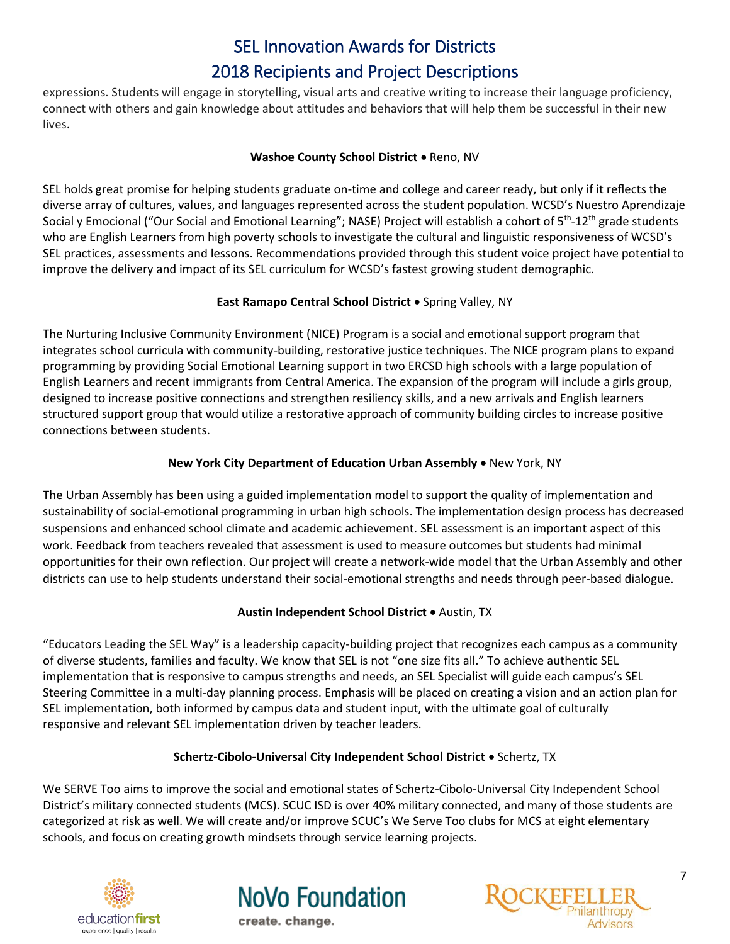expressions. Students will engage in storytelling, visual arts and creative writing to increase their language proficiency, connect with others and gain knowledge about attitudes and behaviors that will help them be successful in their new lives.

#### Washoe County School District . Reno, NV

<span id="page-6-0"></span>SEL holds great promise for helping students graduate on-time and college and career ready, but only if it reflects the diverse array of cultures, values, and languages represented across the student population. WCSD's Nuestro Aprendizaje Social y Emocional ("Our Social and Emotional Learning"; NASE) Project will establish a cohort of 5<sup>th</sup>-12<sup>th</sup> grade students who are English Learners from high poverty schools to investigate the cultural and linguistic responsiveness of WCSD's SEL practices, assessments and lessons. Recommendations provided through this student voice project have potential to improve the delivery and impact of its SEL curriculum for WCSD's fastest growing student demographic.

#### **East Ramapo Central School District .** Spring Valley, NY

<span id="page-6-1"></span>The Nurturing Inclusive Community Environment (NICE) Program is a social and emotional support program that integrates school curricula with community-building, restorative justice techniques. The NICE program plans to expand programming by providing Social Emotional Learning support in two ERCSD high schools with a large population of English Learners and recent immigrants from Central America. The expansion of the program will include a girls group, designed to increase positive connections and strengthen resiliency skills, and a new arrivals and English learners structured support group that would utilize a restorative approach of community building circles to increase positive connections between students.

#### **New York City Department of Education Urban Assembly • New York, NY**

<span id="page-6-2"></span>The Urban Assembly has been using a guided implementation model to support the quality of implementation and sustainability of social-emotional programming in urban high schools. The implementation design process has decreased suspensions and enhanced school climate and academic achievement. SEL assessment is an important aspect of this work. Feedback from teachers revealed that assessment is used to measure outcomes but students had minimal opportunities for their own reflection. Our project will create a network-wide model that the Urban Assembly and other districts can use to help students understand their social-emotional strengths and needs through peer-based dialogue.

#### **Austin Independent School District**  Austin, TX

<span id="page-6-3"></span>"Educators Leading the SEL Way" is a leadership capacity-building project that recognizes each campus as a community of diverse students, families and faculty. We know that SEL is not "one size fits all." To achieve authentic SEL implementation that is responsive to campus strengths and needs, an SEL Specialist will guide each campus's SEL Steering Committee in a multi-day planning process. Emphasis will be placed on creating a vision and an action plan for SEL implementation, both informed by campus data and student input, with the ultimate goal of culturally responsive and relevant SEL implementation driven by teacher leaders.

#### **Schertz-Cibolo-Universal City Independent School District**  Schertz, TX

<span id="page-6-4"></span>We SERVE Too aims to improve the social and emotional states of Schertz-Cibolo-Universal City Independent School District's military connected students (MCS). SCUC ISD is over 40% military connected, and many of those students are categorized at risk as well. We will create and/or improve SCUC's We Serve Too clubs for MCS at eight elementary schools, and focus on creating growth mindsets through service learning projects.